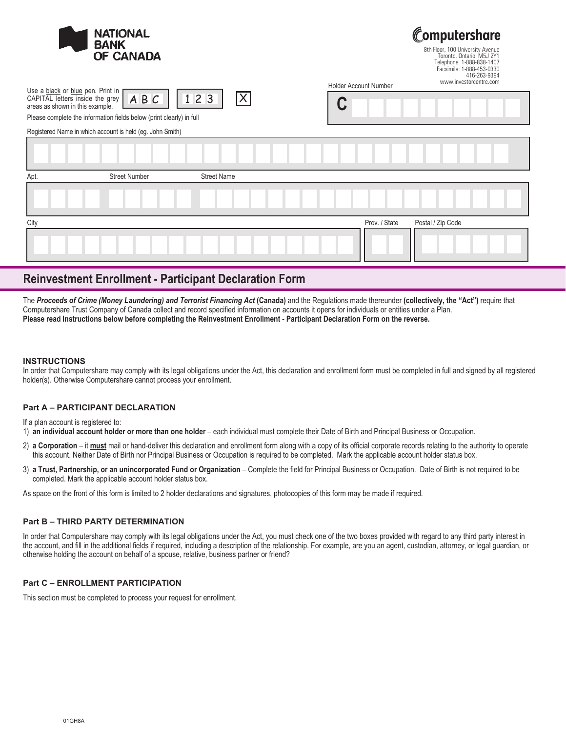

omputershare 8th Floor, 100 University Avenue Toronto, Ontario M5J 2Y1 Telephone 1-888-838-1407

| n Floor, TUU University Avenue |              |
|--------------------------------|--------------|
| Toronto, Ontario M5J 2Y1       |              |
| Telephone 1-888-838-1407       |              |
| Facsimile: 1-888-453-0330      |              |
|                                | 416-263-9394 |
| www.investorcentre.com         |              |

Please complete the information fields below (print clearly) in full

Use a black or blue pen. Print in CAPITAL letters inside the grey areas as shown in this example.

| ABC<br>$\vert$ 123<br>s below (print clearly) in full |  |  |
|-------------------------------------------------------|--|--|
| held (eg. John Smith)                                 |  |  |
|                                                       |  |  |

Holder Account Number

| Apt. | <b>Street Number</b> | <b>Street Name</b>                 |
|------|----------------------|------------------------------------|
|      |                      |                                    |
| City |                      | Prov. / State<br>Postal / Zip Code |
|      |                      |                                    |

# **Reinvestment Enrollment - Participant Declaration Form**

The *Proceeds of Crime (Money Laundering) and Terrorist Financing Act* **(Canada)** and the Regulations made thereunder **(collectively, the "Act")** require that Computershare Trust Company of Canada collect and record specified information on accounts it opens for individuals or entities under a Plan. **Please read Instructions below before completing the Reinvestment Enrollment - Participant Declaration Form on the reverse.**

### **INSTRUCTIONS**

In order that Computershare may comply with its legal obligations under the Act, this declaration and enrollment form must be completed in full and signed by all registered holder(s). Otherwise Computershare cannot process your enrollment.

## **Part A – PARTICIPANT DECLARATION**

If a plan account is registered to:

1) **an individual account holder or more than one holder** – each individual must complete their Date of Birth and Principal Business or Occupation.

- 2) a Corporation it must mail or hand-deliver this declaration and enrollment form along with a copy of its official corporate records relating to the authority to operate this account. Neither Date of Birth nor Principal Business or Occupation is required to be completed. Mark the applicable account holder status box.
- 3) a Trust, Partnership, or an unincorporated Fund or Organization Complete the field for Principal Business or Occupation. Date of Birth is not required to be completed. Mark the applicable account holder status box.

As space on the front of this form is limited to 2 holder declarations and signatures, photocopies of this form may be made if required.

## **Part B – THIRD PARTY DETERMINATION**

In order that Computershare may comply with its legal obligations under the Act, you must check one of the two boxes provided with regard to any third party interest in the account, and fill in the additional fields if required, including a description of the relationship. For example, are you an agent, custodian, attorney, or legal guardian, or otherwise holding the account on behalf of a spouse, relative, business partner or friend?

## **Part C – ENROLLMENT PARTICIPATION**

This section must be completed to process your request for enrollment.